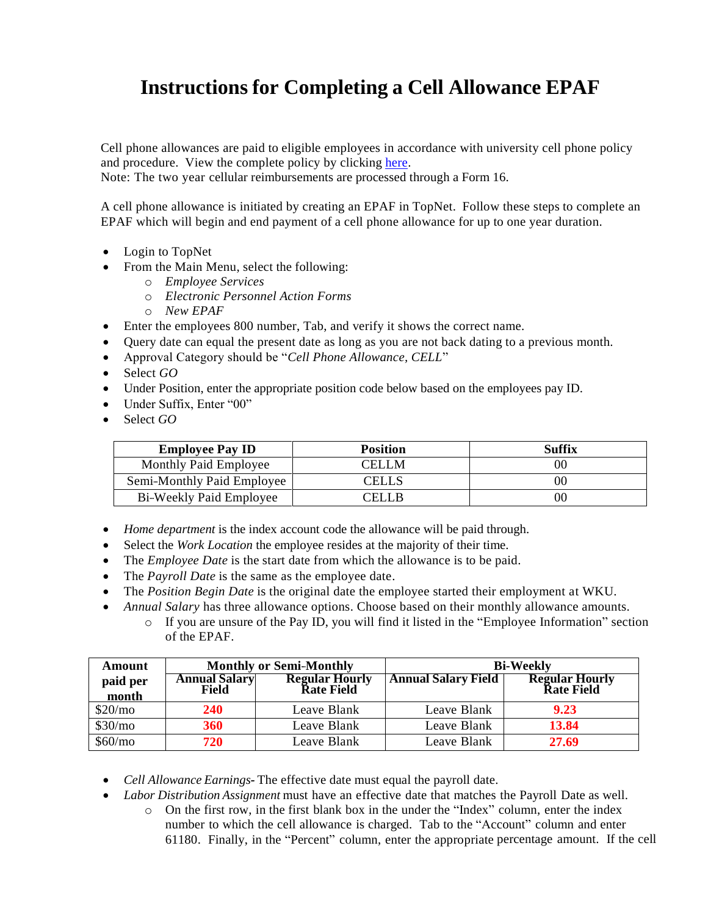## **Instructions for Completing a Cell Allowance EPAF**

Cell phone allowances are paid to eligible employees in accordance with university cell phone policy and procedure. View the complete policy by clicking [here.](http://www.wku.edu/policies/docs/89.pdf)

Note: The two year cellular reimbursements are processed through a Form 16.

A cell phone allowance is initiated by creating an EPAF in TopNet. Follow these steps to complete an EPAF which will begin and end payment of a cell phone allowance for up to one year duration.

- Login to TopNet
- From the Main Menu, select the following:
	- o *Employee Services*
	- o *Electronic Personnel Action Forms*
	- o *New EPAF*
- Enter the employees 800 number, Tab, and verify it shows the correct name.
- Query date can equal the present date as long as you are not back dating to a previous month.
- Approval Category should be "*Cell Phone Allowance, CELL*"
- Select *GO*
- Under Position, enter the appropriate position code below based on the employees pay ID.
- Under Suffix, Enter "00"
- Select *GO*

| <b>Employee Pay ID</b>     | <b>Position</b> | Suffix         |
|----------------------------|-----------------|----------------|
| Monthly Paid Employee      | CELLM           | 0 <sup>0</sup> |
| Semi-Monthly Paid Employee | CELLS           | 0 <sup>0</sup> |
| Bi-Weekly Paid Employee    | CELL B          | 0 <sup>0</sup> |

- *Home department* is the index account code the allowance will be paid through.
- Select the *Work Location* the employee resides at the majority of their time.
- The *Employee Date* is the start date from which the allowance is to be paid.
- The *Payroll Date* is the same as the employee date.
- The *Position Begin Date* is the original date the employee started their employment at WKU.
	- *Annual Salary* has three allowance options. Choose based on their monthly allowance amounts.
		- o If you are unsure of the Pay ID, you will find it listed in the "Employee Information" section of the EPAF.

| Amount              | <b>Monthly or Semi-Monthly</b> |                                            | <b>Bi-Weekly</b>           |                                      |
|---------------------|--------------------------------|--------------------------------------------|----------------------------|--------------------------------------|
| paid per<br>month   | <b>Annual Salary</b><br>Field  | <b>Regular Hourly</b><br><b>Rate Field</b> | <b>Annual Salary Field</b> | <b>Regular Hourly<br/>Rate Field</b> |
| \$20/m <sub>o</sub> | 240                            | Leave Blank                                | Leave Blank                | 9.23                                 |
| \$30/mo             | 360                            | Leave Blank                                | Leave Blank                | 13.84                                |
| \$60/mo             | 720                            | Leave Blank                                | Leave Blank                | 27.69                                |

- *Cell Allowance Earnings-* The effective date must equal the payroll date.
- *Labor Distribution Assignment* must have an effective date that matches the Payroll Date as well.
	- o On the first row, in the first blank box in the under the "Index" column, enter the index number to which the cell allowance is charged. Tab to the "Account" column and enter 61180. Finally, in the "Percent" column, enter the appropriate percentage amount. If the cell